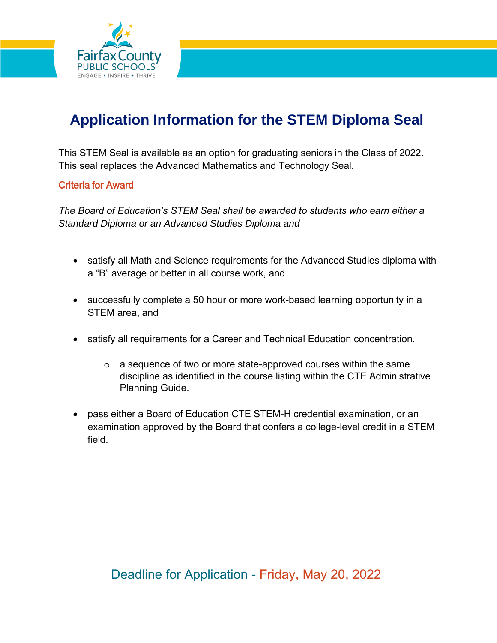

# **Application Information for the STEM Diploma Seal**

This STEM Seal is available as an option for graduating seniors in the Class of 2022. This seal replaces the Advanced Mathematics and Technology Seal.

## Criteria for Award

*The Board of Education's STEM Seal shall be awarded to students who earn either a Standard Diploma or an Advanced Studies Diploma and* 

- satisfy all Math and Science requirements for the Advanced Studies diploma with a "B" average or better in all course work, and
- successfully complete a 50 hour or more work-based learning opportunity in a STEM area, and
- satisfy all requirements for a Career and Technical Education concentration.
	- o a sequence of two or more state-approved courses within the same discipline as identified in the course listing within the CTE Administrative Planning Guide.
- pass either a Board of Education CTE STEM-H credential examination, or an examination approved by the Board that confers a college-level credit in a STEM field.